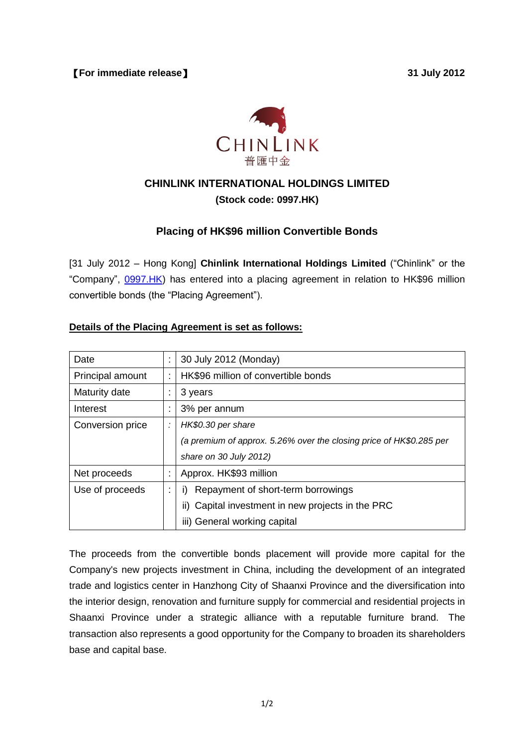

# **CHINLINK INTERNATIONAL HOLDINGS LIMITED**

## **(Stock code: 0997.HK)**

# **Placing of HK\$96 million Convertible Bonds**

[31 July 2012 – Hong Kong] **Chinlink International Holdings Limited** ("Chinlink" or the "Company", 0997.HK) has entered into a placing agreement in relation to HK\$96 million convertible bonds (the "Placing Agreement").

## **Details of the Placing Agreement is set as follows:**

| Date             |   | 30 July 2012 (Monday)                                               |  |  |  |
|------------------|---|---------------------------------------------------------------------|--|--|--|
| Principal amount |   | HK\$96 million of convertible bonds                                 |  |  |  |
| Maturity date    |   | 3 years                                                             |  |  |  |
| Interest         |   | 3% per annum                                                        |  |  |  |
| Conversion price | ÷ | HK\$0.30 per share                                                  |  |  |  |
|                  |   | (a premium of approx. 5.26% over the closing price of HK\$0.285 per |  |  |  |
|                  |   | share on 30 July 2012)                                              |  |  |  |
| Net proceeds     |   | Approx. HK\$93 million                                              |  |  |  |
| Use of proceeds  |   | Repayment of short-term borrowings                                  |  |  |  |
|                  |   | ii) Capital investment in new projects in the PRC                   |  |  |  |
|                  |   | iii) General working capital                                        |  |  |  |

The proceeds from the convertible bonds placement will provide more capital for the Company's new projects investment in China, including the development of an integrated trade and logistics center in Hanzhong City of Shaanxi Province and the diversification into the interior design, renovation and furniture supply for commercial and residential projects in Shaanxi Province under a strategic alliance with a reputable furniture brand. The transaction also represents a good opportunity for the Company to broaden its shareholders base and capital base.